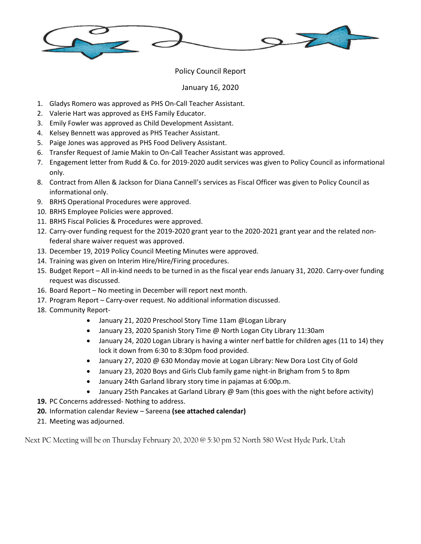

## Policy Council Report

## January 16, 2020

- 1. Gladys Romero was approved as PHS On-Call Teacher Assistant.
- 2. Valerie Hart was approved as EHS Family Educator.
- 3. Emily Fowler was approved as Child Development Assistant.
- 4. Kelsey Bennett was approved as PHS Teacher Assistant.
- 5. Paige Jones was approved as PHS Food Delivery Assistant.
- 6. Transfer Request of Jamie Makin to On-Call Teacher Assistant was approved.
- 7. Engagement letter from Rudd & Co. for 2019-2020 audit services was given to Policy Council as informational only.
- 8. Contract from Allen & Jackson for Diana Cannell's services as Fiscal Officer was given to Policy Council as informational only.
- 9. BRHS Operational Procedures were approved.
- 10. BRHS Employee Policies were approved.
- 11. BRHS Fiscal Policies & Procedures were approved.
- 12. Carry-over funding request for the 2019-2020 grant year to the 2020-2021 grant year and the related nonfederal share waiver request was approved.
- 13. December 19, 2019 Policy Council Meeting Minutes were approved.
- 14. Training was given on Interim Hire/Hire/Firing procedures.
- 15. Budget Report All in-kind needs to be turned in as the fiscal year ends January 31, 2020. Carry-over funding request was discussed.
- 16. Board Report No meeting in December will report next month.
- 17. Program Report Carry-over request. No additional information discussed.
- 18. Community Report-
	- January 21, 2020 Preschool Story Time 11am @Logan Library
	- January 23, 2020 Spanish Story Time @ North Logan City Library 11:30am
	- January 24, 2020 Logan Library is having a winter nerf battle for children ages (11 to 14) they lock it down from 6:30 to 8:30pm food provided.
	- January 27, 2020 @ 630 Monday movie at Logan Library: New Dora Lost City of Gold
	- January 23, 2020 Boys and Girls Club family game night-in Brigham from 5 to 8pm
	- January 24th Garland library story time in pajamas at 6:00p.m.
	- January 25th Pancakes at Garland Library @ 9am (this goes with the night before activity)
- **19.** PC Concerns addressed- Nothing to address.
- **20.** Information calendar Review Sareena **(see attached calendar)**
- 21. Meeting was adjourned.

Next PC Meeting will be on Thursday February 20, 2020 @ 5:30 pm 52 North 580 West Hyde Park, Utah